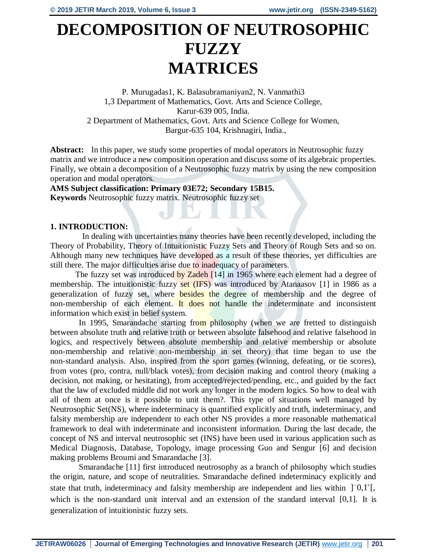# **DECOMPOSITION OF NEUTROSOPHIC FUZZY MATRICES**

P. Murugadas1, K. Balasubramaniyan2, N. Vanmathi3 1,3 Department of Mathematics, Govt. Arts and Science College, Karur-639 005, India. 2 Department of Mathematics, Govt. Arts and Science College for Women, Bargur-635 104, Krishnagiri, India.,

**Abstract:** In this paper, we study some properties of modal operators in Neutrosophic fuzzy matrix and we introduce a new composition operation and discuss some of its algebraic properties. Finally, we obtain a decomposition of a Neutrosophic fuzzy matrix by using the new composition operation and modal operators.

**AMS Subject classification: Primary 03E72; Secondary 15B15. Keywords** Neutrosophic fuzzy matrix. Neutrosophic fuzzy set

# **1. INTRODUCTION:**

 In dealing with uncertainties many theories have been recently developed, including the Theory of Probability, Theory of Intuitionistic Fuzzy Sets and Theory of Rough Sets and so on. Although many new techniques have developed as a result of these theories, yet difficulties are still there. The major difficulties arise due to inadequacy of parameters.

The fuzzy set was introduced by Zadeh [14] in 1965 where each element had a degree of membership. The intuitionistic fuzzy set (IFS) was introduced by Atanaasov [1] in 1986 as a generalization of fuzzy set, where besides the degree of membership and the degree of non-membership of each element. It does not handle the indeterminate and inconsistent information which exist in belief system.

In 1995, Smarandache starting from philosophy (when we are fretted to distinguish between absolute truth and relative truth or between absolute falsehood and relative falsehood in logics, and respectively between absolute membership and relative membership or absolute non-membership and relative non-membership in set theory) that time began to use the non-standard analysis. Also, inspired from the sport games (winning, defeating, or tie scores), from votes (pro, contra, null/black votes), from decision making and control theory (making a decision, not making, or hesitating), from accepted/rejected/pending, etc., and guided by the fact that the law of excluded middle did not work any longer in the modern logics. So how to deal with all of them at once is it possible to unit them?. This type of situations well managed by Neutrosophic Set(NS), where indeterminacy is quantified explicitly and truth, indeterminacy, and falsity membership are independent to each other NS provides a more reasonable mathematical framework to deal with indeterminate and inconsistent information. During the last decade, the concept of NS and interval neutrosophic set (INS) have been used in various application such as Medical Diagnosis, Database, Topology, image processing Guo and Sengur [6] and decision making problems Broumi and Smarandache [3].

Smarandache [11] first introduced neutrosophy as a branch of philosophy which studies the origin, nature, and scope of neutralities. Smarandache defined indeterminacy explicitly and state that truth, indeterminacy and falsity membership are independent and lies within  $]$ <sup>-</sup>0,1<sup>+</sup>[, which is the non-standard unit interval and an extension of the standard interval [0,1]. It is generalization of intuitionistic fuzzy sets.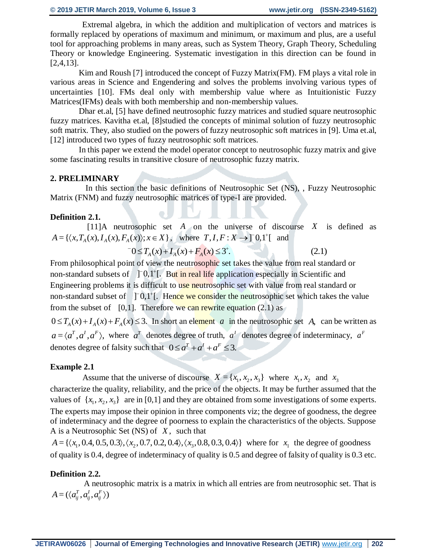Extremal algebra, in which the addition and multiplication of vectors and matrices is formally replaced by operations of maximum and minimum, or maximum and plus, are a useful tool for approaching problems in many areas, such as System Theory, Graph Theory, Scheduling Theory or knowledge Engineering. Systematic investigation in this direction can be found in [2,4,13].

Kim and Roush [7] introduced the concept of Fuzzy Matrix(FM). FM plays a vital role in various areas in Science and Engendering and solves the problems involving various types of uncertainties [10]. FMs deal only with membership value where as Intuitionistic Fuzzy Matrices(IFMs) deals with both membership and non-membership values.

Dhar et.al, [5] have defined neutrosophic fuzzy matrices and studied square neutrosophic fuzzy matrices. Kavitha et.al, [8]studied the concepts of minimal solution of fuzzy neutrosophic soft matrix. They, also studied on the powers of fuzzy neutrosophic soft matrices in [9]. Uma et.al, [12] introduced two types of fuzzy neutrosophic soft matrices.

In this paper we extend the model operator concept to neutrosophic fuzzy matrix and give some fascinating results in transitive closure of neutrosophic fuzzy matrix.

# **2. PRELIMINARY**

 In this section the basic definitions of Neutrosophic Set (NS), , Fuzzy Neutrosophic Matrix (FNM) and fuzzy neutrosophic matrices of type-I are provided.

# **Definition 2.1.**

[11]A neutrosophic set  $A$  on the universe of discourse  $X$  is defined as  $A = \{ \langle x, T_A(x), I_A(x), F_A(x) \rangle; x \in X \}$ , where  $T, I, F: X \rightarrow \ ] 0,1^{\dagger} [$  and

$$
-0 \le T_A(x) + I_A(x) + F_A(x) \le 3^+.
$$
 (2.1)

From philosophical point of view the neutrosophic set takes the value from real standard or non-standard subsets of  $\int$   $\int$   $\frac{1}{\ln}$   $\int$   $\frac{1}{\ln}$   $\int$   $\frac{1}{\ln}$   $\int$   $\frac{1}{\ln}$   $\int$   $\frac{1}{\ln}$   $\int$   $\frac{1}{\ln}$   $\int$   $\frac{1}{\ln}$   $\int$   $\frac{1}{\ln}$   $\int$   $\frac{1}{\ln}$   $\int$   $\frac{1}{\ln}$   $\int$   $\frac{1}{\ln}$   $\int$   $\frac{1}{\ln}$  Engineering problems it is difficult to use neutrosophic set with value from real standard or non-standard subset of [10,1<sup>+</sup>]. Hence we consider the neutrosophic set which takes the value from the subset of  $[0,1]$ . Therefore we can rewrite equation  $(2.1)$  as

 $0 \le T_A(x) + I_A(x) + F_A(x) \le 3$ . In short an element *a* in the neutrosophic set *A*, can be written as  $a = \langle a^T, a^T, a^F \rangle$ , where  $a^T$  denotes degree of truth,  $a^T$  denotes degree of indeterminacy,  $a^F$ denotes degree of falsity such that  $0 \le a^T + a^T + a^F \le 3$ .

# **Example 2.1**

Assume that the universe of discourse  $X = \{x_1, x_2, x_3\}$  where  $x_1, x_2$  and  $x_3$ characterize the quality, reliability, and the price of the objects. It may be further assumed that the values of  $\{x_1, x_2, x_3\}$  are in [0,1] and they are obtained from some investigations of some experts. The experts may impose their opinion in three components viz; the degree of goodness, the degree of indeterminacy and the degree of poorness to explain the characteristics of the objects. Suppose A is a Neutrosophic Set (NS) of *X* , such that

 $A = \{ \langle x_1, 0.4, 0.5, 0.3 \rangle, \langle x_2, 0.7, 0.2, 0.4 \rangle, \langle x_3, 0.8, 0.3, 0.4 \rangle \}$  where for  $x_1$  the degree of goodness of quality is 0.4, degree of indeterminacy of quality is 0.5 and degree of falsity of quality is 0.3 etc.

# **Definition 2.2.**

 A neutrosophic matrix is a matrix in which all entries are from neutrosophic set. That is  $A = (\langle a_{ij}^T, a_{ij}^I, a_{ij}^F \rangle)$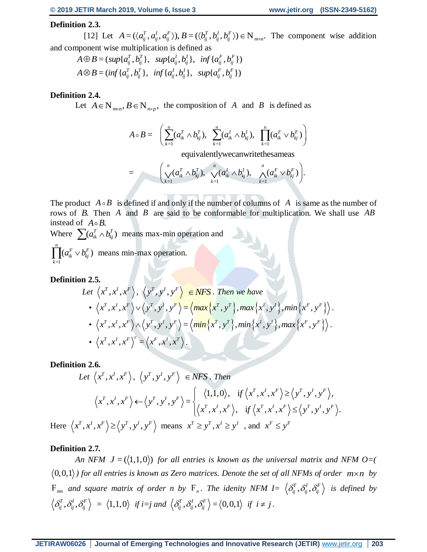# **Definition 2.3.**

[12] Let  $A = (\langle a_{ij}^T, a_{ij}^l, a_{ij}^F \rangle), B = (\langle b_{ij}^T, b_{ij}^l, b_{ij}^F \rangle) \in N_{m \times n}$ . The component wise addition and component wise multiplication is defined as

$$
A \oplus B = (sup\{a_{ij}^T, b_{ij}^T\}, supp{a_{ij}^I, b_{ij}^I\}, inf\{a_{ij}^F, b_{ij}^F\})
$$
  

$$
A \otimes B = (inf\{a_{ij}^T, b_{ij}^T\}, inf\{a_{ij}^I, b_{ij}^I\}, supp{a_{ij}^F, b_{ij}^F\})
$$

# **Definition 2.4.**

Let  $A \in N_{m \times n}$ ,  $B \in N_{m \times p}$ , the composition of A and B is defined as

$$
A \circ B = \left( \sum_{k=1}^{n} (a_{ik}^{T} \wedge b_{kj}^{T}), \sum_{k=1}^{n} (a_{ik}^{I} \wedge b_{kj}^{I}), \prod_{k=1}^{n} (a_{ik}^{F} \vee b_{kj}^{F}) \right)
$$

equivalentlywecanwritethesameas

$$
= \left(\bigvee_{k=1}^{n} (a_{ik}^{T} \wedge b_{kj}^{T}), \bigvee_{k=1}^{n} (a_{ik}^{T} \wedge b_{kj}^{T}), \bigwedge_{k=1}^{n} (a_{ik}^{F} \vee b_{kj}^{F})\right).
$$

The product  $A \circ B$  is defined if and only if the number of columns of A is same as the number of rows of *B*. Then *A* and *B* are said to be conformable for multiplication. We shall use *AB* instead of  $A \circ B$ .

Where  $\sum (a_{ik}^T \wedge b_{kj}^T)$  means max-min operation and

=1  $(a_{ik}^F\vee b_{ki}^F)$ *n*  $\prod (a_{ik}^F \vee b_{kj}^F)$  means min-max operation. *k*

# **Definition 2.5.**

Let 
$$
\langle x^T, x^I, x^F \rangle
$$
,  $\langle y^T, y^I, y^F \rangle \in NFS$ . Then we have  
\n•  $\langle x^T, x^I, x^F \rangle \vee \langle y^T, y^I, y^F \rangle = \langle \max \{ x^T, y^T \}, \max \{ x^I, y^I \}, \min \{ x^F, y^F \} \rangle$ .  
\n•  $\langle x^T, x^I, x^F \rangle \wedge \langle y^T, y^I, y^F \rangle = \langle \min \{ x^T, y^T \}, \min \{ x^I, y^I \}, \max \{ x^F, y^F \} \rangle$ .  
\n•  $\langle x^T, x^I, x^F \rangle^c = \langle x^F, x^I, x^T \rangle$ .

# **Definition 2.6.**

Let 
$$
\langle x^T, x^I, x^F \rangle
$$
,  $\langle y^T, y^I, y^F \rangle \in NFS$ . Then  
\n
$$
\langle x^T, x^I, x^F \rangle \leftarrow \langle y^T, y^I, y^F \rangle = \begin{cases} \langle 1, 1, 0 \rangle, & \text{if } \langle x^T, x^I, x^F \rangle \ge \langle y^T, y^I, y^F \rangle, \\ \langle x^T, x^I, x^F \rangle, & \text{if } \langle x^T, x^I, x^F \rangle \le \langle y^T, y^I, y^F \rangle. \end{cases}
$$
\n
$$
x^T, x^I, x^F \rangle \ge \langle y^T, y^I, y^F \rangle \text{ means } x^T \ge y^T, x^I \ge y^I \text{ and } x^F \le y^F
$$

# **Definition 2.7***.*

Here  $\langle$ 

An NFM  $J = (\langle 1,1,0 \rangle)$  for all entries is known as the universal matrix and NFM O=(  $(0,0,1)$  *for all entries is known as Zero matrices. Denote the set of all NFMs of order*  $m \times n$  *by*  $F_{mn}$  and square matrix of order n by  $F_n$ . The idenity NFM  $I = \left\langle \delta_{ij}^T, \delta_{ij}^I, \delta_{ij}^F \right\rangle$  is defined by  $\langle \delta_{ij}^T, \delta_{ij}^I, \delta_{ij}^F \rangle = \langle 1,1,0 \rangle$  if  $i=j$  and  $\langle \delta_{ij}^T, \delta_{ij}^I, \delta_{ij}^F \rangle = \langle 0,0,1 \rangle$  if  $i \neq j$ .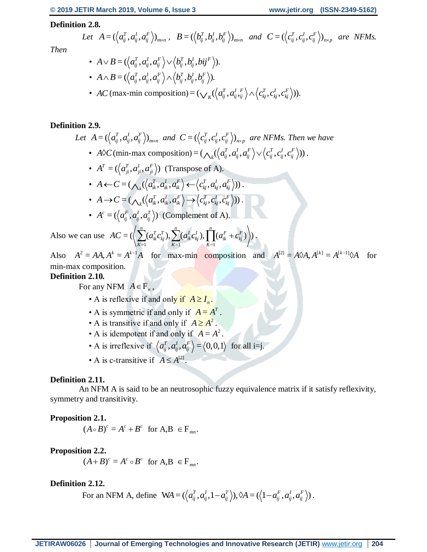# **Definition 2.8.**

Let 
$$
A = (\langle a_{ij}^T, a_{ij}^l, a_{ij}^F \rangle)_{m \times n}
$$
,  $B = (\langle b_{ij}^T, b_{ij}^l, b_{ij}^F \rangle)_{m \times n}$  and  $C = (\langle c_{ij}^T, c_{ij}^l, c_{ij}^F \rangle)_{n \times p}$  are NFMs.

*Then* 

$$
\begin{aligned} \bullet \;\; A \!\vee\! B\! & =\! (\left\langle a_{ij}^T , a_{ij}^I , a_{ij}^F \right\rangle \!\vee\! \left\langle b_{ij}^T , b_{ij}^I , b{ij}^F \right\rangle \!). \\ \bullet \;\; A \!\wedge\! B\! & =\! (\left\langle a_{ij}^T , a_{ij}^I , a_{ij}^F \right\rangle \!\wedge\! \left\langle b_{ij}^T , b_{ij}^I , b_{ij}^F \right\rangle \!). \end{aligned}
$$

• AC (max-min composition) =  $(\bigvee_{K} (\langle a_{ij}^{T}, a_{ij}^{I} , a_{ij}^{F} \rangle \wedge \langle c_{kj}^{T}, c_{kj}^{I}, c_{kj}^{F} \rangle)).$ 

### **Definition 2.9.**

Let 
$$
A = (\langle a_{ij}^T, a_{ij}^I, a_{ij}^F \rangle)_{m \times n}
$$
 and  $C = (\langle c_{ij}^T, c_{ij}^I, c_{ij}^F \rangle)_{n \times p}$  are NFMs. Then we have  
\n•  $A \hat{\vee} C$  (min-max composition) =  $(\bigwedge_k (\langle a_{ij}^T, a_{ij}^I, a_{ij}^F \rangle \vee \langle c_{ij}^T, c_{ij}^I, c_{ij}^F \rangle))$ .

• 
$$
A^T = (\langle a_{ji}^T, a_{ji}^T, a_{ji}^F \rangle)
$$
 (Transpose of A).

$$
\begin{aligned}\n &\bullet \ \ A \leftarrow C = (\bigwedge_k(\left\langle a_{ik}^T, a_{ik}^I, a_{ik}^F \right\rangle \leftarrow \left\langle c_{kj}^T, a_{kj}^I, a_{kj}^F \right\rangle)) \\
&\bullet \ \ A \rightarrow C = (\bigwedge_k(\left\langle a_{ik}^T, a_{ik}^I, a_{ik}^F \right\rangle \rightarrow \left\langle c_{kj}^T, c_{kj}^I, c_{kj}^F \right\rangle))\n \end{aligned}
$$

• 
$$
A^c = (\langle a_{ij}^F, a_{ij}^I, a_{ij}^T \rangle)
$$
 (Complement of A).

Also we can use  $=1$   $K=1$   $K=1$  $=\left\langle \left\langle \sum_{i=1}^{n}(a_{ik}^{T}c_{ki}^{T}), \sum_{i=1}^{n}(a_{ik}^{T}c_{ki}^{T}), \prod_{i=1}^{n}(a_{ik}^{F}+c_{ki}^{F}) \right\rangle \right\rangle$  $AC = (\left\langle \sum_{K=1} (a_{ik}^T c_{kj}^T), \sum_{K=1} (a_{ik}^I c_{kj}^I), \prod_{K=1} (a_{ik}^F + c_{kj}^F) \right\rangle).$ 

Also  $A^2 = AA$ ,  $A^k = A^{k-1}A$  for max-min composition and  $A^{[2]} = A \otimes A$ ,  $A^{[k]} = A^{[k-1]} \otimes A$ for min-max composition.

# **Definition 2.10***.*

For any NFM  $A \in F_n$ ,

- A is reflexive if and only if  $A \geq I_n$ .
- A is symmetric if and only if  $A = A^T$ .
- A is transitive if and only if  $A \geq A^2$ .
- A is idempotent if and only if  $A = A^2$ .
- A is irreflexive if  $\langle a_{ij}^T, a_{ij}^T, a_{ij}^F \rangle = \langle 0, 0, 1 \rangle$  for all i=j.
- A is c-transitive if  $A \leq A^{[2]}$ .

#### **Definition 2.11.**

An NFM A is said to be an neutrosophic fuzzy equivalence matrix if it satisfy reflexivity, symmetry and transitivity.

# **Proposition 2.1.**

 $(A \circ B)^c = A^c + B^c$  for  $A, B \in F_{mn}$ .

#### **Proposition 2.2.**

 $(A+B)^c = A^c \circ B^c$  for  $A, B \in F_{mn}$ .

#### **Definition 2.12.**

For an NFM A, define  $WA = (\langle a_{ij}^T, a_{ij}^I, 1 - a_{ij}^T \rangle), \& A = (\langle 1 - a_{ij}^F, a_{ij}^I, a_{ij}^F \rangle).$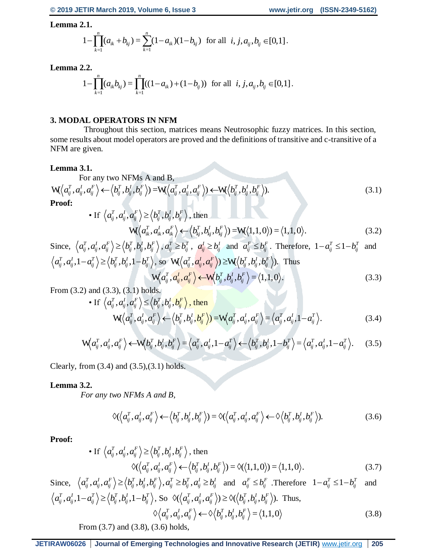**Lemma 2.1.**

$$
1 - \prod_{k=1}^{n} (a_{ik} + b_{kj}) = \sum_{k=1}^{n} (1 - a_{ik})(1 - b_{kj}) \text{ for all } i, j, a_{ij}, b_{ij} \in [0, 1].
$$

**Lemma 2.2.**

2.2.  
\n
$$
1 - \prod_{k=1}^{n} (a_{ik}b_{kj}) = \prod_{k=1}^{n} ((1 - a_{ik}) + (1 - b_{ij})) \text{ for all } i, j, a_{ij}, b_{ij} \in [0, 1].
$$

# **3. MODAL OPERATORS IN NFM**

 Throughout this section, matrices means Neutrosophic fuzzy matrices. In this section, some results about model operators are proved and the definitions of transitive and c-transitive of a NFM are given.

#### **Lemma 3.1.**

For any two NFMs A and B,

$$
W\langle a_{ij}^T, a_{ij}^I, a_{ij}^F \rangle \leftarrow \langle b_{ij}^T, b_{ij}^I, b_{ij}^F \rangle) = W\langle a_{ij}^T, a_{ij}^I, a_{ij}^F \rangle \leftarrow W\langle b_{ij}^T, b_{ij}^I, b_{ij}^F \rangle).
$$
\n(3.1)

**Proof:**

• If 
$$
\langle a_{ij}^T, a_{ij}^l, a_{ij}^F \rangle \ge \langle b_{ij}^T, b_{ij}^l, b_{ij}^F \rangle
$$
, then  
\n
$$
W(\langle a_{ik}^T, a_{ik}^l, a_{ik}^F \rangle \leftarrow \langle b_{kj}^T, b_{kj}^l, b_{kj}^F \rangle) = W(\langle 1, 1, 0 \rangle) = \langle 1, 1, 0 \rangle.
$$
\n(3.2)

Since, 
$$
\langle a_{ij}^T, a_{ij}^l, a_{ij}^F \rangle \ge \langle b_{ij}^T, b_{ij}^l, b_{ij}^F \rangle
$$
,  $a_{ij}^T \ge b_{ij}^T$ ,  $a_{ij}^l \ge b_{ij}^l$  and  $a_{ij}^F \le b_{ij}^F$ . Therefore,  $1 - a_{ij}^T \le 1 - b_{ij}^T$  and  $\langle a_{ij}^T, a_{ij}^l, 1 - a_{ij}^T \rangle \ge \langle b_{ij}^T, b_{ij}^l, 1 - b_{ij}^T \rangle$ , so  $\mathbf{W} \langle a_{ij}^T, a_{ij}^l, a_{ij}^F \rangle \ge \mathbf{W} \langle b_{ij}^T, b_{ij}^l, b_{ij}^F \rangle$ . Thus  $\mathbf{W} \langle a_{ij}^T, a_{ij}^l, a_{ij}^F \rangle \leftarrow \mathbf{W} \langle b_{ij}^T, b_{ij}^l, b_{ij}^F \rangle = \langle 1, 1, 0 \rangle$ . (3.3)

From (3.2) and (3.3), (3.1) holds.

• If 
$$
\langle a_{ij}^T, a_{ij}^I, a_{ij}^F \rangle \leq \langle b_{ij}^T, b_{ij}^I, b_{ij}^F \rangle
$$
, then  
\n
$$
W(\langle a_{ij}^T, a_{ij}^I, a_{ij}^F \rangle \leftarrow \langle b_{ij}^T, b_{ij}^I, b_{ij}^F \rangle) = W(\langle a_{ij}^T, a_{ij}^I, a_{ij}^F \rangle) = \langle a_{ij}^T, a_{ij}^I, 1 - a_{ij}^T \rangle.
$$
\n(3.4)

$$
\mathbf{W}\left(a_{ij}^T,a_{ij}^I,a_{ij}^F\right) \leftarrow \mathbf{W}\left(b_{ij}^T,b_{ij}^I,b_{ij}^F\right) = \left\langle a_{ij}^T,a_{ij}^I,1-a_{ij}^T \right\rangle \leftarrow \left\langle b_{ij}^T,b_{ij}^I,1-b_{ij}^T \right\rangle = \left\langle a_{ij}^T,a_{ij}^I,1-a_{ij}^T \right\rangle. \tag{3.5}
$$

Clearly, from  $(3.4)$  and  $(3.5)$ , $(3.1)$  holds.

# **Lemma 3.2.**

 *For any two NFMs A and B,* 

two NFMs A and B,  
\n
$$
\Diamond(\langle a_{ij}^T, a_{ij}^l, a_{ij}^F \rangle \leftarrow \langle b_{ij}^T, b_{ij}^l, b_{ij}^F \rangle) = \Diamond(\langle a_{ij}^T, a_{ij}^l, a_{ij}^F \rangle \leftarrow \Diamond \langle b_{ij}^T, b_{ij}^l, b_{ij}^F \rangle).
$$
\n(3.6)

**Proof:**

• If 
$$
\langle a_{ij}^T, a_{ij}^I, a_{ij}^F \rangle \ge \langle b_{ij}^T, b_{ij}^I, b_{ij}^F \rangle
$$
, then  
\n $\diamond \langle \langle a_{ij}^T, a_{ij}^I, a_{ij}^F \rangle \langle \langle b_{ij}^T, b_{ij}^I, b_{ij}^F \rangle \rangle = \diamond \langle \langle 1, 1, 0 \rangle \rangle = \langle 1, 1, 0 \rangle.$  (3.7)

Since, 
$$
\langle a_{ij}^T, a_{ij}^I, a_{ij}^F \rangle \ge \langle b_{ij}^T, b_{ij}^I, b_{ij}^F \rangle, a_{ij}^T \ge b_{ij}^T, a_{ij}^I \ge b_{ij}^I
$$
 and  $a_{ij}^F \le b_{ij}^F$ . Therefore  $1 - a_{ij}^T \le 1 - b_{ij}^T$  and  $\langle a_{ij}^T, a_{ij}^I, 1 - a_{ij}^T \rangle \ge \langle b_{ij}^T, b_{ij}^I, 1 - b_{ij}^T \rangle$ , So  $\Diamond \langle \langle a_{ij}^T, a_{ij}^I, a_{ij}^F \rangle \rangle \ge \Diamond \langle \langle b_{ij}^T, b_{ij}^I, b_{ij}^F \rangle \rangle$ . Thus,  
 $\Diamond \langle a_{ij}^T, a_{ij}^I, a_{ij}^F \rangle \leftrightarrow \Diamond \langle b_{ij}^T, b_{ij}^I, b_{ij}^F \rangle = \langle 1, 1, 0 \rangle$  (3.8)

From (3.7) and (3.8), (3.6) holds,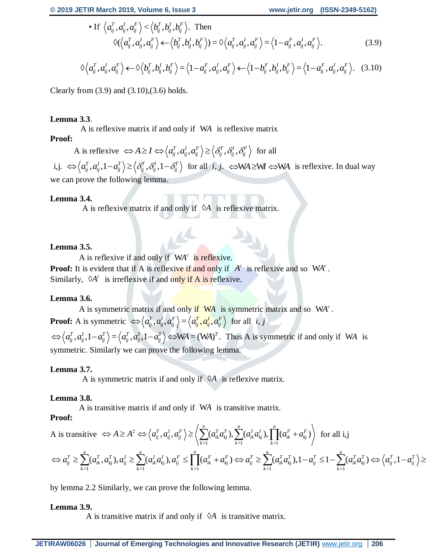• If 
$$
\langle a_{ij}^T, a_{ij}^I, a_{ij}^F \rangle < \langle b_{ij}^T, b_{ij}^I, b_{ij}^F \rangle
$$
. Then  
\n $\diamond \langle \langle a_{ij}^T, a_{ij}^I, a_{ij}^F \rangle \leftarrow \langle b_{ij}^T, b_{ij}^I, b_{ij}^F \rangle = \diamond \langle a_{ij}^T, a_{ij}^I, a_{ij}^F \rangle = \langle 1 - a_{ij}^F, a_{ij}^I, a_{ij}^F \rangle$ . (3.9)

$$
\Diamond \langle a_{ij}^T, a_{ij}^l, a_{ij}^F \rangle \leftarrow \Diamond \langle b_{ij}^T, b_{ij}^l, b_{ij}^F \rangle = \langle 1 - a_{ij}^F, a_{ij}^l, a_{ij}^F \rangle \leftarrow \langle 1 - b_{ij}^F, b_{ij}^l, b_{ij}^F \rangle = \langle 1 - a_{ij}^F, a_{ij}^l, a_{ij}^F \rangle. \quad (3.10)
$$

Clearly from  $(3.9)$  and  $(3.10)$ , $(3.6)$  holds.

# **Lemma 3.3**.

A is reflexive matrix if and only if W*A* is reflexive matrix

# **Proof:**

**Proof:**<br>A is reflexive  $\Leftrightarrow A \ge I \Leftrightarrow \left\langle a_{ij}^T, a_{ij}^I, a_{ij}^F \right\rangle \ge \left\langle \delta_{ij}^T, \delta_{ij}^I, \delta_{ij}^F \right\rangle$  for all

i,j.  $\iff$   $\left\langle a_{ij}^T, a_{ij}^I, 1 - a_{ij}^T \right\rangle \ge \left\langle \delta_{ij}^T, \delta_{ij}^I, 1 - \delta_{ij}^T \right\rangle$  for all *i, j.*  $\iff$  WA  $\approx$  WA is reflexive. In dual way we can prove the following lemma.

# **Lemma 3.4.**

A is reflexive matrix if and only if  $\varnothing$ A is reflexive matrix.

# **Lemma 3.5.**

A is reflexive if and only if WA<sup>c</sup> is reflexive. **Proof:** It is evident that if A is reflexive if and only if  $A^c$  is reflexive and so WA<sup> $c$ </sup>. Similarly,  $\varphi A^c$  is irreflexive if and only if A is reflexive.

# **Lemma 3.6.**

A is symmetric matrix if and only if WA is symmetric matrix and so WA<sup>c</sup>. **Proof:** A is symmetric  $\Leftrightarrow \langle a_{ij}^T, a_{ij}^I, a_{ij}^F \rangle = \langle a_{ij}^T, a_{ij}^I, a_{ij}^F \rangle$  for all *i*, *j*  $\Leftrightarrow \langle a_{ij}^T, a_{ij}^I, 1 - a_{ij}^T \rangle = \langle a_{ij}^T, a_{ij}^I, 1 - a_{ij}^T \rangle \Leftrightarrow \text{WA} = (\text{WA})^T$ . Thus A is symmetric if and only if WA is symmetric. Similarly we can prove the following lemma.

# **Lemma 3.7.**

A is symmetric matrix if and only if  $\varnothing$ A is reflexive matrix.

# **Lemma 3.8.**

A is transitive matrix if and only if W*A* is transitive matrix.

# **Proof:**

A is transitive 
$$
\Leftrightarrow A \ge A^2 \Leftrightarrow \langle a_{ij}^T, a_{ij}^I, a_{ij}^F \rangle \ge \langle \sum_{k=1}^n (a_{ik}^T a_{kj}^T), \sum_{k=1}^n (a_{ik}^T a_{kj}^I), \prod_{k=1}^n (a_{ik}^F + a_{kj}^F) \rangle
$$
 for all i,j

$$
\Leftrightarrow a_{ij}^T \geq \sum_{k=1}^n (a_{ik}^T, a_{kj}^T), a_{ij}^T \geq \sum_{k=1}^n (a_{ik}^T a_{kj}^T), a_{ij}^F \leq \prod_{k=1}^n (a_{ik}^F + a_{kj}^F) \Leftrightarrow a_{ij}^T \geq \sum_{k=1}^n (a_{ik}^T a_{kj}^T), 1 - a_{ij}^T \leq 1 - \sum_{k=1}^n (a_{ik}^T a_{kj}^T) \Leftrightarrow \left\langle a_{ij}^T, 1 - a_{ij}^T \right\rangle \geq
$$

by lemma 2.2 Similarly, we can prove the following lemma.

# **Lemma 3.9.**

A is transitive matrix if and only if  $\varnothing$ A is transitive matrix.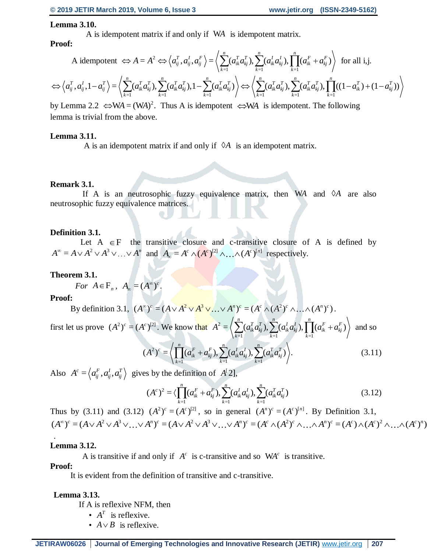#### **Lemma 3.10.**

A is idempotent matrix if and only if W*A* is idempotent matrix.

## **Proof:**

A idempotent 
$$
\Leftrightarrow A = A^2 \Leftrightarrow \langle a_{ij}^T, a_{ij}^I, a_{ij}^F \rangle = \langle \sum_{k=1}^n (a_{ik}^T a_{kj}^T), \sum_{k=1}^n (a_{ik}^T a_{kj}^I), \prod_{k=1}^n (a_{ik}^F + a_{kj}^F) \rangle
$$
 for all i,j.  
 $\Leftrightarrow \langle a_{ij}^T, a_{ij}^I, 1 - a_{ij}^T \rangle = \langle \sum_{k=1}^n (a_{ik}^T a_{kj}^T), \sum_{k=1}^n (a_{ik}^T a_{kj}^T), 1 - \sum_{k=1}^n (a_{ik}^T a_{kj}^T) \rangle \Leftrightarrow \langle \sum_{k=1}^n (a_{ik}^T a_{kj}^T), \sum_{k=1}^n (a_{ik}^T a_{kj}^T), \prod_{k=1}^n ((1 - a_{ik}^T) + (1 - a_{kj}^T)) \rangle$ 

by Lemma 2.2  $\Leftrightarrow$ WA = (WA)<sup>2</sup>. Thus A is idempotent  $\Leftrightarrow$ WA is idempotent. The following lemma is trivial from the above.

#### **Lemma 3.11.**

A is an idempotent matrix if and only if  $\varnothing$ A is an idempotent matrix.

#### **Remark 3.1.**

If A is an neutrosophic fuzzy equivalence matrix, then  $WA$  and  $\Diamond A$  are also neutrosophic fuzzy equivalence matrices.

#### **Definition 3.1.**

Let  $A \in F$  the transitive closure and c-transitive closure of A is defined by  $A^{\infty} = A \vee A^2 \vee A^3 \vee ... \vee A^n$  and  $A_{\infty} = A^c \wedge (A^c)^{[2]} \wedge ... \wedge (A^c)^{[n]}$  respectively.

#### **Theorem 3.1.**

For  $A \in \mathbf{F}_n$ ,  $A_{\infty} = (A^{\infty})^c$ .

#### **Proof:**

By definition 3.1, 
$$
(A^{\infty})^c = (A \vee A^2 \vee A^3 \vee ... \vee A^n)^c = (A^c \wedge (A^2)^c \wedge ... \wedge (A^n)^c)
$$
.

first let us prove  $(A^2)^c = (A^c)^{[2]}$ . We know that  $A^2$  $k=1$   $k=1$   $k=1$  $=\left\langle \sum_{i=1}^{n}(a_{i\cdot}^{T}a_{i\cdot}^{T}), \sum_{i=1}^{n}(a_{i\cdot}^{T}a_{i\cdot}^{T}), \prod_{i=1}^{n}(a_{i\cdot}^{F}+a_{i\cdot}^{F})\right\rangle$  $A^2 = \Big\langle \sum_{k=1}^n (a_{ik}^T a_{kj}^T), \sum_{k=1}^n (a_{ik}^T a_{kj}^T), \prod_{k=1}^n (a_{ik}^F + a_{kj}^F) \Big\rangle$  and so

$$
(A2)c = \left\langle \prod_{k=1}^{n} (a_{ik}^F + a_{kj}^F), \sum_{k=1}^{n} (a_{ik}^I a_{kj}^I), \sum_{k=1}^{n} (a_{ik}^T a_{kj}^T) \right\rangle.
$$
 (3.11)

Also  $A^c = \langle a_{ij}^F, a_{ij}^I, a_{ij}^T \rangle$  gives by the definition of  $A^c[2]$ ,

$$
(Ac)2 = \langle \prod_{k=1}^{n} (a_{ik}^F + a_{kj}^F), \sum_{k=1}^{n} (a_{ik}^I a_{kj}^I), \sum_{k=1}^{n} (a_{ik}^T a_{kj}^T)
$$
(3.12)

Thus by (3.11) and (3.12)  $(A^2)^c = (A^c)^{[2]}$ , so in general  $(A^n)^c = (A^c)^{[n]}$ . By Definition 3.1,  $(A^{\infty})^c = (A \vee A^2 \vee A^3 \vee ... \vee A^n)^c = (A \vee A^2 \vee A^3 \vee ... \vee A^n)^c = (A^c \wedge (A^2)^c \wedge ... \wedge A^n)^c = (A^c) \wedge (A^c)^2 \wedge ... \wedge (A^c)^n)$ 

#### **Lemma 3.12.**

A is transitive if and only if  $A^c$  is c-transitive and so  $WA^c$  is transitive.

#### **Proof:**

.

It is evident from the definition of transitive and c-transitive.

#### **Lemma 3.13.**

If A is reflexive NFM, then

- $A^T$  is reflexive.
- $A \vee B$  is reflexive.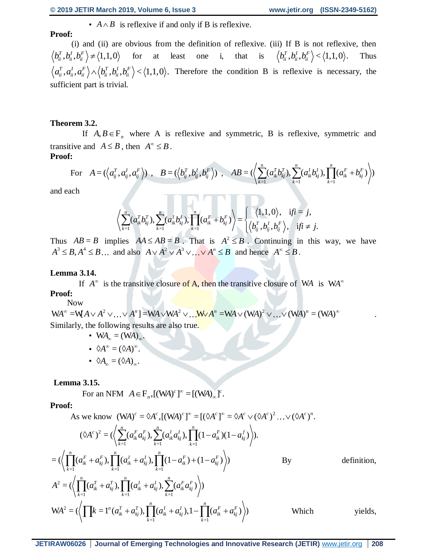•  $A \wedge B$  is reflexive if and only if B is reflexive.

**Proof:**

(i) and (ii) are obvious from the definition of reflexive. (iii) If B is not reflexive, then  $b_{ii}^T, b_{ii}^I, b_{ii}^F \rangle \neq \langle 1,1,0 \rangle$  for at least one i, that is  $\langle b_{ii}^T, b_{ii}^I, b_{ii}^F \rangle < \langle 1,1,0 \rangle$ . Thus  $a_{ii}^T, a_{ii}^I, a_{ii}^F \rangle \wedge \langle b_{ii}^T, b_{ii}^I, b_{ii}^F \rangle \langle 1,1,0 \rangle$ . Therefore the condition B is reflexive is necessary, the sufficient part is trivial.

#### **Theorem 3.2.**

If  $A, B \in F_n$  where A is reflexive and symmetric, B is reflexive, symmetric and transitive and  $A \leq B$ , then  $A^{\infty} \leq B$ . **Proof:**

transitive and 
$$
A \leq B
$$
, then  $A \leq B$ .  
\n**Proof:**  
\nFor  $A = (\langle a_{ij}^T, a_{ij}^I, a_{ij}^F \rangle)$ ,  $B = (\langle b_{ij}^T, b_{ij}^I, b_{ij}^F \rangle)$ ,  $AB = (\langle \sum_{k=1}^n (a_{ik}^T b_{kj}^T), \sum_{k=1}^n (a_{ik}^I b_{kj}^I), \prod_{k=1}^n (a_{ik}^F + b_{kj}^F) \rangle)$ 

and each

$$
\left\langle \sum_{k=1}^n (a_{ik}^T b_{kj}^T), \sum_{k=1}^n (a_{ik}^I b_{kj}^I), \prod_{k=1}^n (a_{ik}^F + b_{kj}^F) \right\rangle = \begin{cases} \left\langle 1, 1, 0 \right\rangle, & \text{if } i = j, \\ \left\langle b_{ij}^T, b_{ij}^I, b_{ij}^F \right\rangle, & \text{if } i \neq j. \end{cases}
$$

Thus  $AB = B$  implies  $AA \leq AB = B$ . That is  $A^2 \leq B$ . Continuing in this way, we have  $A^3 \leq B$ ,  $A^4 \leq B$ ... and also  $A \vee A^2 \vee A^3 \vee \dots \vee A^n \leq B$  and hence  $A^{\infty} \leq B$ .

#### **Lemma 3.14.**

If  $A^{\infty}$  is the transitive closure of A, then the transitive closure of WA is WA<sup> $\infty$ </sup> **Proof:**

Now

$$
WA^{\infty} = WA \vee A^{2} \vee ... \vee A^{n} = WA \vee WA^{2} \vee ...
$$

$$
WA^{n} = WA \vee (WA)^{2} \vee ... \vee (WA)^{n} = (WA)^{\infty}
$$

$$
Similarly, the following results are also true.
$$

- $WA_{\infty} = (WA)_{\infty}$ .
- $\Diamond A^{\infty} = (\Diamond A)^{\infty}$ .
- $\Diamond A_{\infty} = (\Diamond A)_{\infty}$ .

#### **Lemma 3.15.**

For an NFM  $A \in \mathbf{F}_n$ ,  $[(\mathbf{W}A)^c]^{\infty} = [(\mathbf{W}A)_{\infty}]^c$ .

## **Proof:**

As we know 
$$
(WA)^c = \hat{\;}A^c
$$
,  $[(WA)^c]^{\infty} = [(\hat{\;}A^c)^{\infty} = \hat{\;}A^c \vee (\hat{\;}A^c)^2 \dots \vee (\hat{\;}A^c)^n$ .

Proof:  
\nAs we know 
$$
(WA)^c = \hat{A}^c
$$
,  $[(WA)^c]^{\infty} = [(\hat{A}^c)^{\infty} = \hat{A}^c \vee (\hat{A}^c)^2 ... \vee (\hat{A}^c)^n$ .  
\n
$$
(\hat{A}^c)^2 = (\left\langle \sum_{k=1}^n (a_{ik}^r a_{kj}^r), \sum_{k=1}^n (a_{ik}^l a_{kj}^l), \prod_{k=1}^n (1 - a_{ik}^r)(1 - a_{kj}^l) \right\rangle).
$$
\n
$$
= (\left\langle \prod_{k=1}^n (a_{ik}^r + a_{kj}^r), \prod_{k=1}^n (a_{ik}^l + a_{kj}^l), \prod_{k=1}^n (1 - a_{ik}^r) + (1 - a_{kj}^r) \right\rangle)
$$
\nBy definition,  
\n
$$
A^2 = (\left\langle \prod_{k=1}^n (a_{ik}^T + a_{kj}^T), \prod_{k=1}^n (a_{ik}^l + a_{kj}^l), \sum_{k=1}^n (a_{ik}^r a_{kj}^r) \right\rangle)
$$
\n
$$
WA^2 = (\left\langle \prod_k^r = 1^n (a_{ik}^T + a_{kj}^T), \prod_{k=1}^n (a_{ik}^l + a_{kj}^l), 1 - \prod_{k=1}^n (a_{ik}^r + a_{kj}^r) \right\rangle)
$$
\nWhich yields,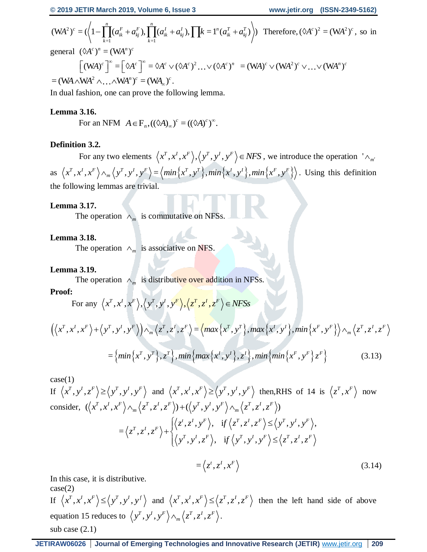$$
(\mathbf{W}A^{2})^{c} = (\left\langle 1 - \prod_{k=1}^{n} (a_{ik}^{F} + a_{kj}^{F}), \prod_{k=1}^{n} (a_{ik}^{I} + a_{kj}^{I}), \prod k=1^{n} (a_{ik}^{T} + a_{kj}^{T}) \right\rangle) \text{ Therefore, } (\lozenge A^{c})^{2} = (\mathbf{W}A^{2})^{c}, \text{ so in}
$$

general  $(\Diamond A^c)^n = (WA^n)^c$ 

al 
$$
(\delta A^c)^n = (WA^n)^c
$$
  
\n
$$
[(WA)^c]^{\infty} = [\delta A^c]^{\infty} = \delta A^c \vee (\delta A^c)^2 ... \vee (\delta A^c)^n = (WA)^c \vee (WA^2)^c \vee ... \vee (WA^n)^c
$$
\n4. What's equation is

 $=( WA \wedge WA^2 \wedge \ldots \wedge WA^n)^c = ( WA_\infty)^c$ .

In dual fashion, one can prove the following lemma.

# **Lemma 3.16.**

**5.10.**<br>For an NFM  $A \in \mathbf{F}_n$ ,  $((\Diamond A)_\infty)^c = ((\Diamond A)^c)^\infty$ .

# **Definition 3.2.**

For any two elements  $\langle x^T, x^I, x^F \rangle, \langle y^T, y^I, y^F \rangle \in NFS$ , we introduce the operation  $\wedge_{m'}$  $\left\{\left(x^T, x^I, x^F\right) \wedge_m \left(y^T, y^I, y^F\right\} = \left\{\min\left\{x^T, y^T\right\}, \min\left\{x^I, y^I\right\}, \min\left\{x^F, y^F\right\}\right\}$  $\langle x^T, x^I, x^F \rangle \wedge_m \langle y^T, y^I, y^F \rangle = \langle min \{ x^T, y^T \}, min \{ x^I, y^I \}, min \{ x^F, y^F \} \rangle$ . Using this definition the following lemmas are trivial.

# **Lemma 3.17.**

The operation  $\wedge_m$  is commutative on NFSs.

# **Lemma 3.18.**

The operation  $\wedge_m$  is associative on NFS.

# **Lemma 3.19.**

The operation  $\wedge_m$  is distributive over addition in NFSs.

# **Proof:**

For any 
$$
\langle x^T, x^I, x^F \rangle
$$
,  $\langle y^T, y^I, y^F \rangle$ ,  $\langle z^T, z^I, z^F \rangle \in NFSs$ 

$$
\left( \left\langle x^T, x^I, x^F \right\rangle + \left\langle y^T, y^I, y^F \right\rangle \right) \wedge_m \left\langle z^T, z^I, z^F \right\rangle = \left\langle \max \left\{ x^T, y^T \right\}, \max \left\{ x^I, y^I \right\}, \min \left\{ x^F, y^F \right\} \right\rangle \wedge_m \left\langle z^T, z^I, z^F \right\rangle
$$

$$
= \left\{ \min \left\{ x^T, y^T \right\}, z^T \right\}, \min \left\{ \max \left\{ x^I, y^I \right\}, z^I \right\}, \min \left\{ \min \left\{ x^F, y^F \right\} z^F \right\} \tag{3.13}
$$

 $case(1)$ 

If 
$$
\langle x^T, y^I, z^F \rangle \ge \langle y^T, y^I, y^F \rangle
$$
 and  $\langle x^T, x^I, x^F \rangle \ge \langle y^T, y^I, y^F \rangle$  then,  
RHS of 14 is  $\langle z^T, x^F \rangle$  now  
consider,  $(\langle x^T, x^I, x^F \rangle \wedge_m \langle z^T, z^I, z^F \rangle) + (\langle y^T, y^I, y^F \rangle \wedge_m \langle z^T, z^I, z^F \rangle)$   
 $= \langle z^T, z^I, z^F \rangle + \begin{cases} \langle z^t, z^I, y^F \rangle, & \text{if } \langle z^T, z^I, z^F \rangle \le \langle y^T, y^I, y^F \rangle, \\ \langle y^T, y^I, z^F \rangle, & \text{if } \langle y^T, y^I, y^F \rangle \le \langle z^T, z^I, z^F \rangle \end{cases}$ 

$$
=\langle z^t, z^I, x^F\rangle
$$
\n(3.14)

In this case, it is distributive.

case(2) If  $\langle x^T, x^I, x^F \rangle \leq \langle y^T, y^I, y^f \rangle$  and  $\langle x^T, x^I, x^F \rangle \leq \langle z^T, z^I, z^F \rangle$  then the left hand side of above equation 15 reduces to  $\langle y^T, y^I, y^F \rangle \wedge_m \langle z^T, z^I, z^F \rangle$  $\langle y^T, y^I, y^F \rangle \wedge_m \langle z^T, z^I, z^F \rangle$ . sub case (2.1)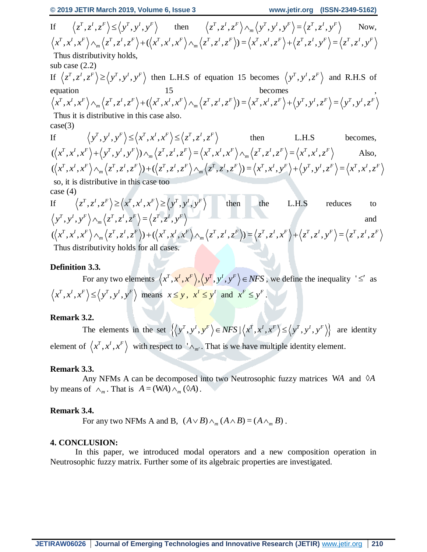If  $\langle z^T, z^I, z^F \rangle \leq \langle y^T, y^I, y^F \rangle$  then  $\langle z^T, z^I, z^F \rangle \wedge_m \langle y^T, y^I, y^F \rangle = \langle z^T, z^I, y^F \rangle$  $Z^T$ ,  $Z^T$ ,  $Z^T$ ,  $\wedge$   $\wedge$   $\wedge$   $\wedge$   $y^T$ ,  $y^T$ ,  $y^T$   $\equiv$   $\langle z^T$ ,  $z^T$ ,  $y$ Now,  $\langle x^T, x^I, x^F \rangle \wedge_m \langle z^T, z^I, z^F \rangle + (\langle x^T, x^I, x^F \rangle \wedge_m \langle z^T, z^I, z^F \rangle) = \langle x^T, x^I, z^F \rangle + \langle z^T, z^I, y^F \rangle = \langle z^T, z^I, y^F \rangle$ Thus distributivity holds, sub case (2.2) If  $\langle z^T, z^I, z^F \rangle \geq \langle y^T, y^I, y^F \rangle$  then L.H.S of equation 15 becomes  $\langle y^T, y^I, z^F \rangle$  and R.H.S of equation 15 becomes,  $\langle x^T, x^I, x^F \rangle \wedge_m \langle z^T, z^I, z^F \rangle + (\langle x^T, x^I, x^F \rangle \wedge_m \langle z^T, z^I, z^F \rangle) = \langle x^T, x^I, z^F \rangle + \langle y^T, y^I, z^F \rangle = \langle y^T, y^I, z^F \rangle$ Thus it is distributive in this case also.  $case(3)$ If  $\langle y^T, y^I, y^F \rangle \leq \langle x^T, x^I, x^F \rangle \leq \langle z^T, z^I, z^F \rangle$ then L.H.S becomes,  $(\langle x^T, x^I, x^F \rangle + \langle y^T, y^I, y^F \rangle) \wedge_m \langle z^T, z^I, z^F \rangle = \langle x^T, x^I, x^F \rangle \wedge_m \langle z^T, z^I, z^F \rangle = \langle x^T, x^I, z^F \rangle$ Also,  $(\langle x^T, x^I, x^F \rangle \wedge_m \langle z^T, z^I, z^F \rangle) + (\langle z^T, z^I, z^F \rangle \wedge_m \langle z^T, z^I, z^F \rangle) = \langle x^T, x^I, y^F \rangle + \langle y^T, y^I, z^F \rangle = \langle x^T, x^I, z^F \rangle$ so, it is distributive in this case too case (4) If  $\langle z^T, z^I, z^F \rangle \ge \langle x^T, x^I, x^F \rangle \ge \langle y^T, y^I, y^F \rangle$ then the L.H.S reduces to  $\langle y^T, y^I, y^F \rangle \wedge_m \langle z^T, z^I, z^F \rangle = \langle z^T, z^I, y^F \rangle$ and

$$
(\langle x^T, x^I, x^F \rangle \wedge_m \langle z^T, z^I, z^F \rangle) + (\langle x^T, x^I, x^F \rangle \wedge_m \langle z^T, z^I, z^F \rangle) = \langle z^T, z^I, x^F \rangle + \langle z^T, z^I, y^F \rangle = \langle z^T, z^I, z^F \rangle
$$
  
Thus distributivity holds for all cases.

#### **Definition 3.3.**

For any two elements  $\langle x^T, x^I, x^F \rangle, \langle y^T, y^I, y^F \rangle \in NFS$ , we define the inequality ' $\leq'$  as  $x^T, x^I, x^F \ge \langle y^T, y^I, y^F \rangle$  means  $x \le y$ ,  $x^I \le y^I$  and  $x^F \le y^F$ .

#### **Remark 3.2.**

The elements in the set  $\left\{ \left\langle y^T, y^I, y^F \right\rangle \in NFS \mid \left\langle x^T, x^I, x^F \right\rangle \leq \left\langle y^T, y^I, y^F \right\rangle \right\}$  are identity element of  $\langle x^T, x^I, x^F \rangle$  with respect to  $\langle x^T, x^I, x^F \rangle$ . That is we have multiple identity element.

#### **Remark 3.3.**

Any NFMs A can be decomposed into two Neutrosophic fuzzy matrices WA and  $\Diamond A$ by means of  $\wedge_m$ . That is  $A = (WA) \wedge_m (OA)$ .

#### **Remark 3.4.**

For any two NFMs A and B,  $(A \vee B) \wedge_m (A \wedge B) = (A \wedge_m B)$ .

#### **4. CONCLUSION:**

In this paper, we introduced modal operators and a new composition operation in Neutrosophic fuzzy matrix. Further some of its algebraic properties are investigated.